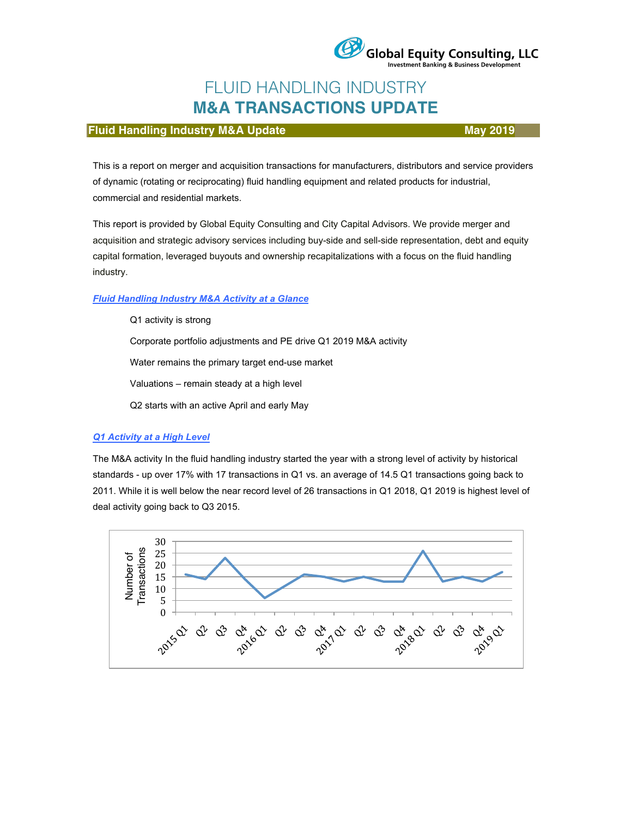

# FLUID HANDLING INDUSTRY **M&A TRANSACTIONS UPDATE**

# **Fluid Handling Industry M&A Update May 2019** May 2019

This is a report on merger and acquisition transactions for manufacturers, distributors and service providers of dynamic (rotating or reciprocating) fluid handling equipment and related products for industrial, commercial and residential markets.

This report is provided by Global Equity Consulting and City Capital Advisors. We provide merger and acquisition and strategic advisory services including buy-side and sell-side representation, debt and equity capital formation, leveraged buyouts and ownership recapitalizations with a focus on the fluid handling industry.

#### *Fluid Handling Industry M&A Activity at a Glance*

Q1 activity is strong Corporate portfolio adjustments and PE drive Q1 2019 M&A activity Water remains the primary target end-use market Valuations – remain steady at a high level Q2 starts with an active April and early May

# *Q1 Activity at a High Level*

The M&A activity In the fluid handling industry started the year with a strong level of activity by historical standards - up over 17% with 17 transactions in Q1 vs. an average of 14.5 Q1 transactions going back to 2011. While it is well below the near record level of 26 transactions in Q1 2018, Q1 2019 is highest level of deal activity going back to Q3 2015.

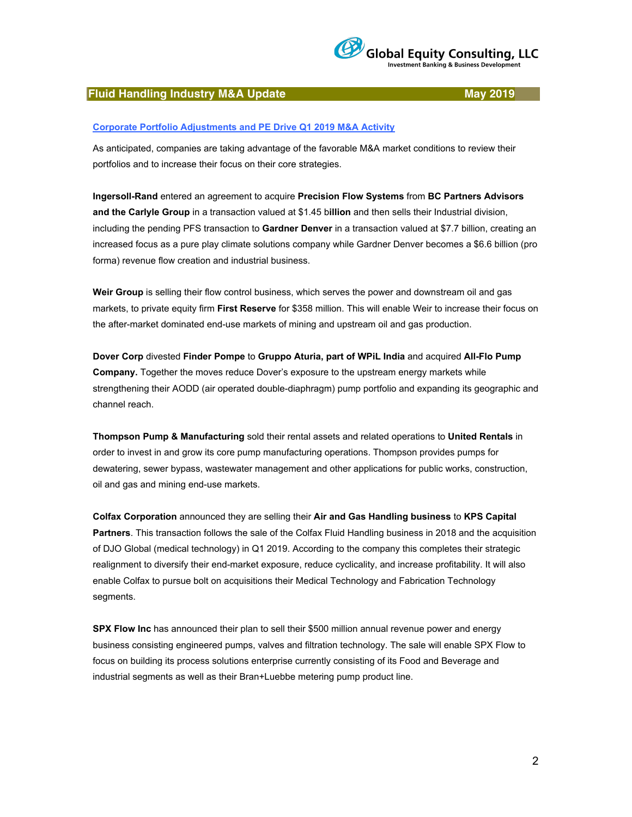

### **Fluid Handling Industry M&A Update May 2019**

#### **Corporate Portfolio Adjustments and PE Drive Q1 2019 M&A Activity**

As anticipated, companies are taking advantage of the favorable M&A market conditions to review their portfolios and to increase their focus on their core strategies.

**Ingersoll-Rand** entered an agreement to acquire **Precision Flow Systems** from **BC Partners Advisors and the Carlyle Group** in a transaction valued at \$1.45 b**illion** and then sells their Industrial division, including the pending PFS transaction to **Gardner Denver** in a transaction valued at \$7.7 billion, creating an increased focus as a pure play climate solutions company while Gardner Denver becomes a \$6.6 billion (pro forma) revenue flow creation and industrial business.

**Weir Group** is selling their flow control business, which serves the power and downstream oil and gas markets, to private equity firm **First Reserve** for \$358 million. This will enable Weir to increase their focus on the after-market dominated end-use markets of mining and upstream oil and gas production.

**Dover Corp** divested **Finder Pompe** to **Gruppo Aturia, part of WPiL India** and acquired **All-Flo Pump Company.** Together the moves reduce Dover's exposure to the upstream energy markets while strengthening their AODD (air operated double-diaphragm) pump portfolio and expanding its geographic and channel reach.

**Thompson Pump & Manufacturing** sold their rental assets and related operations to **United Rentals** in order to invest in and grow its core pump manufacturing operations. Thompson provides pumps for dewatering, sewer bypass, wastewater management and other applications for public works, construction, oil and gas and mining end-use markets.

**Colfax Corporation** announced they are selling their **Air and Gas Handling business** to **KPS Capital Partners**. This transaction follows the sale of the Colfax Fluid Handling business in 2018 and the acquisition of DJO Global (medical technology) in Q1 2019. According to the company this completes their strategic realignment to diversify their end-market exposure, reduce cyclicality, and increase profitability. It will also enable Colfax to pursue bolt on acquisitions their Medical Technology and Fabrication Technology segments.

**SPX Flow Inc** has announced their plan to sell their \$500 million annual revenue power and energy business consisting engineered pumps, valves and filtration technology. The sale will enable SPX Flow to focus on building its process solutions enterprise currently consisting of its Food and Beverage and industrial segments as well as their Bran+Luebbe metering pump product line.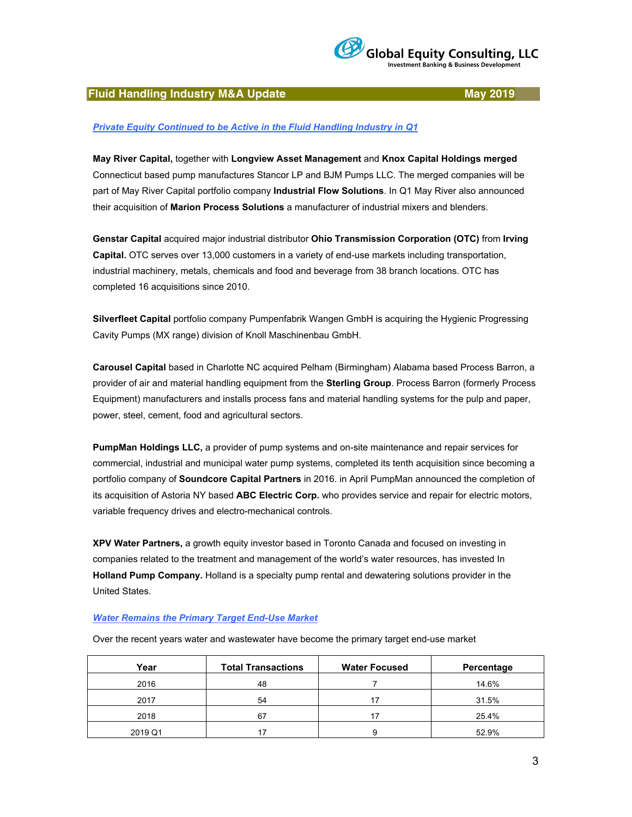

## **Fluid Handling Industry M&A Update May 2019**

#### *Private Equity Continued to be Active in the Fluid Handling Industry in Q1*

**May River Capital,** together with **Longview Asset Management** and **Knox Capital Holdings merged** Connecticut based pump manufactures Stancor LP and BJM Pumps LLC. The merged companies will be part of May River Capital portfolio company **Industrial Flow Solutions**. In Q1 May River also announced their acquisition of **Marion Process Solutions** a manufacturer of industrial mixers and blenders.

**Genstar Capital** acquired major industrial distributor **Ohio Transmission Corporation (OTC)** from **Irving Capital.** OTC serves over 13,000 customers in a variety of end-use markets including transportation, industrial machinery, metals, chemicals and food and beverage from 38 branch locations. OTC has completed 16 acquisitions since 2010.

**Silverfleet Capital** portfolio company Pumpenfabrik Wangen GmbH is acquiring the Hygienic Progressing Cavity Pumps (MX range) division of Knoll Maschinenbau GmbH.

**Carousel Capital** based in Charlotte NC acquired Pelham (Birmingham) Alabama based Process Barron, a provider of air and material handling equipment from the **Sterling Group**. Process Barron (formerly Process Equipment) manufacturers and installs process fans and material handling systems for the pulp and paper, power, steel, cement, food and agricultural sectors.

**PumpMan Holdings LLC,** a provider of pump systems and on-site maintenance and repair services for commercial, industrial and municipal water pump systems, completed its tenth acquisition since becoming a portfolio company of **Soundcore Capital Partners** in 2016. in April PumpMan announced the completion of its acquisition of Astoria NY based **ABC Electric Corp.** who provides service and repair for electric motors, variable frequency drives and electro-mechanical controls.

**XPV Water Partners,** a growth equity investor based in Toronto Canada and focused on investing in companies related to the treatment and management of the world's water resources, has invested In **Holland Pump Company.** Holland is a specialty pump rental and dewatering solutions provider in the United States.

#### *Water Remains the Primary Target End-Use Market*

Over the recent years water and wastewater have become the primary target end-use market

| Year    | <b>Total Transactions</b> | <b>Water Focused</b> | Percentage |
|---------|---------------------------|----------------------|------------|
| 2016    | 48                        |                      | 14.6%      |
| 2017    | 54                        |                      | 31.5%      |
| 2018    | 67                        |                      | 25.4%      |
| 2019 Q1 | 17                        | a                    | 52.9%      |